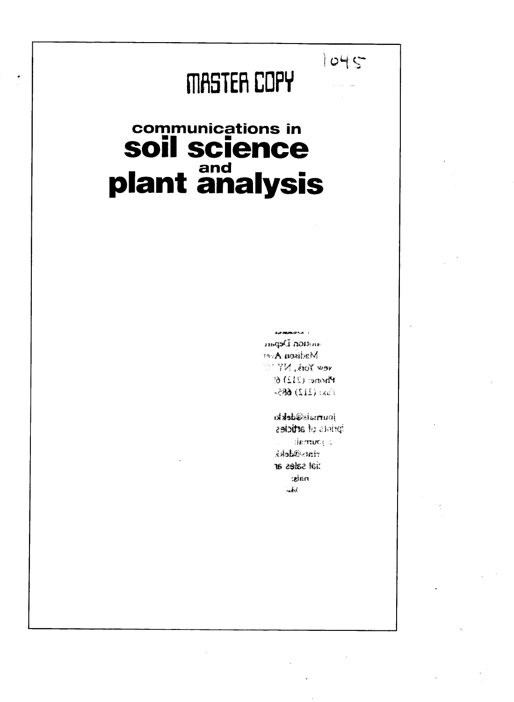# 111115TEFi **COPY**

## **communications in soil science plant and**

**LOWERSTON** angsCinoism Madisen A et  $vew$  York, NY Phone: (212) 6: Fax: (212) 685-

 $1045$ 

journale@dekki prints of articles decrited in rints@dekk to aske to the raks:  $\sim 1.0$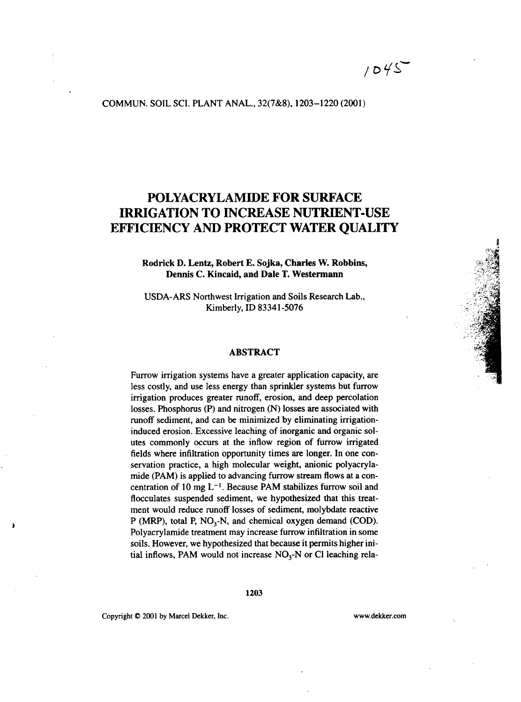$1045$ 

#### COMMUN. SOIL SCI. PLANT ANAL., 32(7&8), 1203-1220 (2001)

### POLYACRYLAMIDE FOR SURFACE IRRIGATION TO INCREASE NUTRIENT-USE EFFICIENCY AND PROTECT WATER QUALITY

#### Rodrick **D.** Lentz, Robert **E.** Sojka, Charles W. Robbins, **Dennis C. Kincaid, and Dale T. Westermann**

USDA-ARS Northwest Irrigation and Soils Research Lab., Kimberly, ID 83341-5076

#### **ABSTRACT**

Furrow irrigation systems have a greater application capacity, are less costly, and use less energy than sprinkler systems but furrow irrigation produces greater runoff, erosion, and deep percolation losses. Phosphorus (P) and nitrogen (N) losses are associated with runoff sediment, and can be minimized by eliminating irrigationinduced erosion. Excessive leaching of inorganic and organic solutes commonly occurs at the inflow region of furrow irrigated fields where infiltration opportunity times are longer. In one conservation practice, a high molecular weight, anionic polyacrylamide (PAM) is applied to advancing furrow stream flows at a concentration of 10 mg  $L^{-1}$ . Because PAM stabilizes furrow soil and flocculates suspended sediment, we hypothesized that this treatment would reduce runoff losses of sediment, molybdate reactive P (MRP), total P,  $NO<sub>3</sub>$ -N, and chemical oxygen demand (COD). Polyacrylamide treatment may increase furrow infiltration in some soils. However, we hypothesized that because it permits higher initial inflows, PAM would not increase  $NO<sub>3</sub>-N$  or Cl leaching rela-

Copyright C 2001 by Marcel Dekker, Inc. www.dekker.com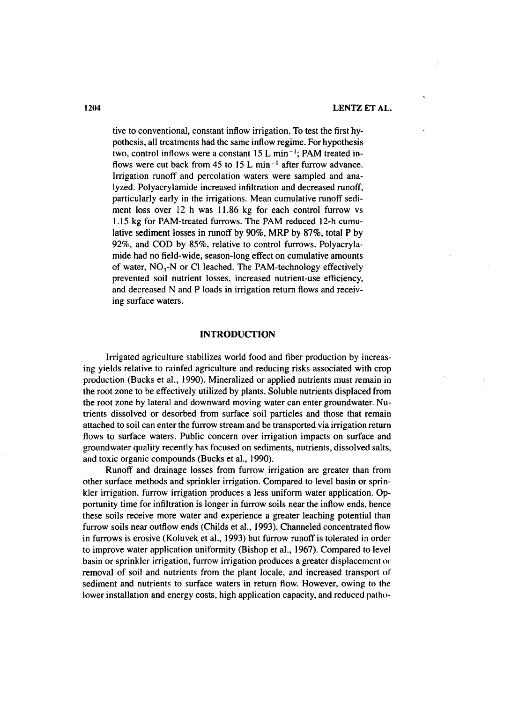tive to conventional, constant inflow irrigation. To test the first hypothesis, all treatments had the same inflow regime. For hypothesis two, control inflows were a constant  $15 L \text{ min}^{-1}$ ; PAM treated inflows were cut back from 45 to 15 L min<sup>-1</sup> after furrow advance. Irrigation runoff and percolation waters were sampled and analyzed. Polyacrylamide increased infiltration and decreased runoff, particularly early in the irrigations. Mean cumulative runoff sediment loss over 12 h was 11.86 kg for each control furrow vs 1.15 kg for PAM-treated furrows. The PAM reduced 12-h cumulative sediment losses in runoff by 90%, MRP by 87%, total P by 92%, and COD by 85%, relative to control furrows. Polyacrylamide had no field-wide, season-long effect on cumulative amounts of water,  $NO_3$ -N or Cl leached. The PAM-technology effectively prevented soil nutrient losses, increased nutrient-use efficiency, and decreased N and P loads in irrigation return flows and receiving surface waters.

#### **INTRODUCTION**

Irrigated agriculture stabilizes world food and fiber production by increasing yields relative to rainfed agriculture and reducing risks associated with crop production (Bucks et al., 1990). Mineralized or applied nutrients must remain in the root zone to be effectively utilized by plants. Soluble nutrients displaced from the root zone by lateral and downward moving water can enter groundwater. Nutrients dissolved or desorbed from surface soil particles and those that remain attached to soil can enter the furrow stream and be transported via irrigation return flows to surface waters. Public concern over irrigation impacts on surface and groundwater quality recently has focused on sediments, nutrients, dissolved salts, and toxic organic compounds (Bucks et al., 1990).

Runoff and drainage losses from furrow irrigation are greater than from other surface methods and sprinkler irrigation. Compared to level basin or sprinkler irrigation, furrow irrigation produces a less uniform water application. Opportunity time for infiltration is longer in furrow soils near the inflow ends, hence these soils receive more water and experience a greater leaching potential than furrow soils near outflow ends (Childs et al., 1993). Channeled concentrated flow in furrows is erosive (Koluvek et al., 1993) but furrow runoff is tolerated in order to improve water application uniformity (Bishop et al., 1967). Compared to level basin or sprinkler irrigation, furrow irrigation produces a greater displacement or removal of soil and nutrients from the plant locale, and increased transport of sediment and nutrients to surface waters in return flow. However, owing to the lower installation and energy costs, high application capacity, and reduced patho-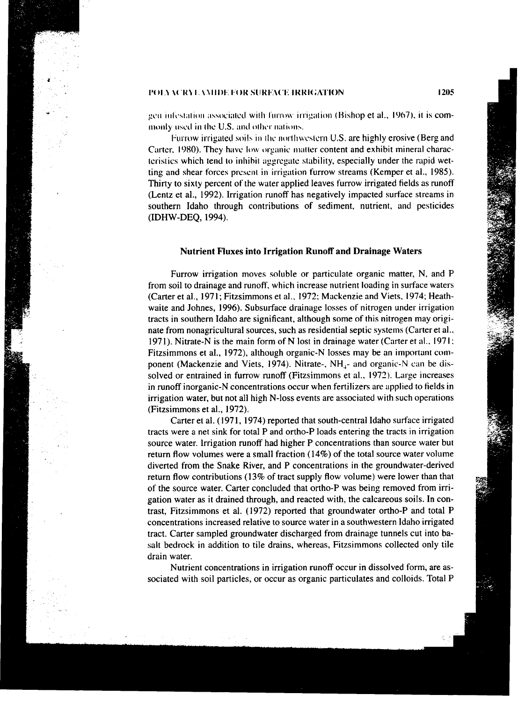gen infestation associated with furrow irrigation (Bishop et al., 1967), it is commonly used in the U.S. and other nations.

Furrow irrigated soils in the northwestern U.S. are highly erosive (Berg and Carter, 1980). They have low organic matter content and exhibit mineral characteristics which tend to inhibit aggregate stability, especially under the rapid wetting and shear forces present in irrigation furrow streams (Kemper et al., 1985). Thirty to sixty percent of the water applied leaves furrow irrigated fields as runoff (Lentz et al., 1992). Irrigation runoff has negatively impacted surface streams in southern Idaho through contributions of sediment, nutrient, and pesticides (IDHW-DEQ, 1994).

#### **Nutrient Fluxes into Irrigation Runoff and Drainage Waters**

Furrow irrigation moves soluble or particulate organic matter, N, and P from soil to drainage and runoff, which increase nutrient loading in surface waters (Carter et al., 1971; Fitzsimmons et al., 1972; Mackenzie and Viets, 1974; Heathwaite and Johnes, 1996). Subsurface drainage losses of nitrogen under irrigation tracts in southern Idaho are significant, although some of this nitrogen may originate from nonagricultural sources, such as residential septic systems (Carter et al., 1971). Nitrate-N is the main form of N lost in drainage water (Carter et al., 1971; Fitzsimmons et al., 1972), although organic-N losses may be an important component (Mackenzie and Viets, 1974). Nitrate-, NH<sub>1</sub>- and organic-N can be dissolved or entrained in furrow runoff (Fitzsimmons et al., 1972). Large increases in runoff inorganic-N concentrations occur when fertilizers are applied to fields in irrigation water, but not all high N-loss events are associated with such operations (Fitzsimmons et al., 1972).

Carter et al. (1971, 1974) reported that south-central Idaho surface irrigated tracts were a net sink for total P and ortho-P loads entering the tracts in irrigation source water. Irrigation runoff had higher P concentrations than source water but return flow volumes were a small fraction (14%) of the total source water volume diverted from the Snake River, and P concentrations in the groundwater-derived return flow contributions (13% of tract supply flow volume) were lower than that of the source water. Carter concluded that ortho-P was being removed from irrigation water as it drained through, and reacted with, the calcareous soils. **In** contrast, Fitzsimmons et al. (1972) reported that groundwater ortho-P and total P concentrations increased relative to source water in a southwestern Idaho irrigated tract. Carter sampled groundwater discharged from drainage tunnels cut into basalt bedrock in addition to tile drains, whereas, Fitzsimmons collected only tile drain water.

Nutrient concentrations in irrigation runoff occur in dissolved form, are associated with soil particles, or occur as organic particulates and colloids. Total P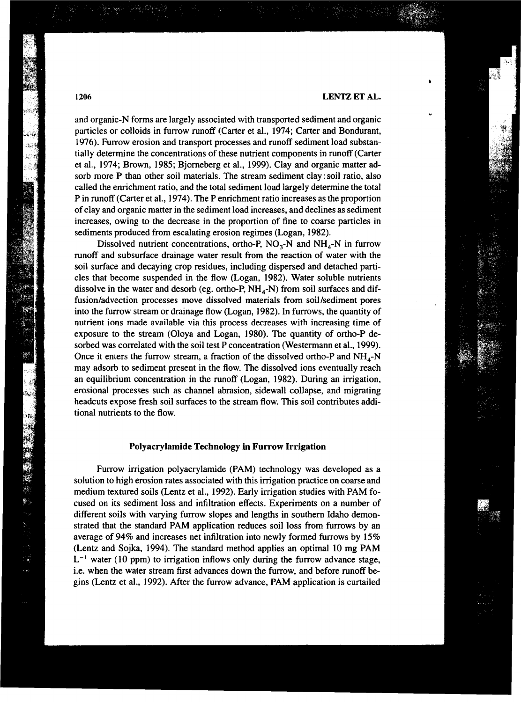and organic-N forms are largely associated with transported sediment and organic particles or colloids in furrow runoff (Carter et al., 1974; Carter and Bondurant, 1976). Furrow erosion and transport processes and runoff sediment load substantially determine the concentrations of these nutrient components in runoff (Carter et al., 1974; Brown, 1985; Bjorneberg et al., 1999). Clay and organic matter adsorb more P than other soil materials. The stream sediment clay : soil ratio, also called the enrichment ratio, and the total sediment load largely determine the total Pin runoff (Carter et al., 1974). The P enrichment ratio increases as the proportion of clay and organic matter in the sediment load increases, and declines as sediment increases, owing to the decrease in the proportion of fine to coarse particles in sediments produced from escalating erosion regimes (Logan, 1982).

Dissolved nutrient concentrations, ortho-P,  $NO<sub>3</sub>-N$  and  $NH<sub>4</sub>-N$  in furrow runoff and subsurface drainage water result from the reaction of water with the soil surface and decaying crop residues, including dispersed and detached particles that become suspended in the flow (Logan, 1982). Water soluble nutrients dissolve in the water and desorb (eg. ortho-P,  $NH<sub>4</sub>-N$ ) from soil surfaces and diffusion/advection processes move dissolved materials from soil/sediment pores into the furrow stream or drainage flow (Logan, 1982). In furrows, the quantity of nutrient ions made available via this process decreases with increasing time of exposure to the stream (Oloya and Logan, 1980). The quantity of ortho-P desorbed was correlated with the soil test P concentration (Westermann et al., 1999). Once it enters the furrow stream, a fraction of the dissolved ortho-P and  $NH<sub>4</sub>$ -N may adsorb to sediment present in the flow. The dissolved ions eventually reach an equilibrium concentration in the runoff (Logan, 1982). During an irrigation, erosional processes such as channel abrasion, sidewall collapse, and migrating headcuts expose fresh soil surfaces to the stream flow. This soil contributes additional nutrients to the flow.

#### **Polyacrylamide Technology in Furrow Irrigation**

Furrow irrigation polyacrylamide (PAM) technology was developed as a solution to high erosion rates associated with this irrigation practice on coarse and medium textured soils (Lentz et al., 1992). Early irrigation studies with PAM focused on its sediment loss and infiltration effects. Experiments on a number of different soils with varying furrow slopes and lengths in southern Idaho demonstrated that the standard PAM application reduces soil loss from furrows by an average of 94% and increases net infiltration into newly formed furrows by 15% (Lentz and Sojka, 1994). The standard method applies an optimal 10 mg PAM  $L^{-1}$  water (10 ppm) to irrigation inflows only during the furrow advance stage, i.e. when the water stream first advances down the furrow, and before runoff begins (Lentz et al., 1992). After the furrow advance, PAM application is curtailed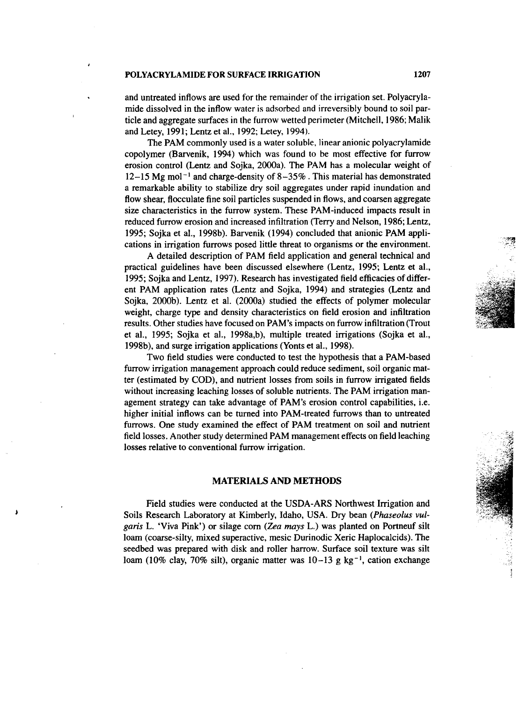and untreated inflows are used for the remainder of the irrigation set. Polyacrylamide dissolved in the inflow water is adsorbed and irreversibly bound to soil particle and aggregate surfaces in the furrow wetted perimeter (Mitchell, 1986; Malik and Letey, 1991; Lentz et al., 1992; Letey, 1994).

The PAM commonly used is a water soluble, linear anionic polyacrylamide copolymer (Barvenik, 1994) which was found to be most effective for furrow erosion control (Lentz and Sojka, 2000a). The PAM has a molecular weight of  $12-15$  Mg mol<sup>-1</sup> and charge-density of  $8-35%$  . This material has demonstrated a remarkable ability to stabilize dry soil aggregates under rapid inundation and flow shear, flocculate fine soil particles suspended in flows, and coarsen aggregate size characteristics in the furrow system. These PAM-induced impacts result in reduced furrow erosion and increased infiltration (Terry and Nelson, 1986; Lentz, 1995; Sojka et al., 1998b). Barvenik (1994) concluded that anionic PAM applications in irrigation furrows posed little threat to organisms or the environment.

A detailed description of PAM field application and general technical and practical guidelines have been discussed elsewhere (Lentz, 1995; Lentz et al., 1995; Sojka and Lentz, 1997). Research has investigated field efficacies of different PAM application rates (Lentz and Sojka, 1994) and strategies (Lentz and Sojka, 2000b). Lentz et al. (2000a) studied the effects of polymer molecular weight, charge type and density characteristics on field erosion and infiltration results. Other studies have focused on PAM's impacts on furrow infiltration (Trout et al., 1995; Sojka et al., 1998a,b), multiple treated irrigations (Sojka et al., 1998b), and surge irrigation applications (Yonts et al., 1998).

Two field studies were conducted to test the hypothesis that a PAM-based furrow irrigation management approach could reduce sediment, soil organic matter (estimated by COD), and nutrient losses from soils in furrow irrigated fields without increasing leaching losses of soluble nutrients. The PAM irrigation management strategy can take advantage of PAM's erosion control capabilities, i.e. higher initial inflows can be turned into PAM-treated furrows than to untreated furrows. One study examined the effect of PAM treatment on soil and nutrient field losses. Another study determined PAM management effects on field leaching losses relative to conventional furrow irrigation.

#### **MATERIALS AND METHODS**

Field studies were conducted at the USDA-ARS Northwest Irrigation and Soils Research Laboratory at Kimberly, Idaho, USA. Dry bean *(Phaseolus vulgaris* L. 'Viva Pink') or silage corn *(Zea mays* L.) was planted on Portneuf silt loam (coarse-silty, mixed superactive, mesic Durinodic Xeric Haplocalcids). The seedbed was prepared with disk and roller harrow. Surface soil texture was silt loam (10% clay, 70% silt), organic matter was  $10-13$  g kg<sup>-1</sup>, cation exchange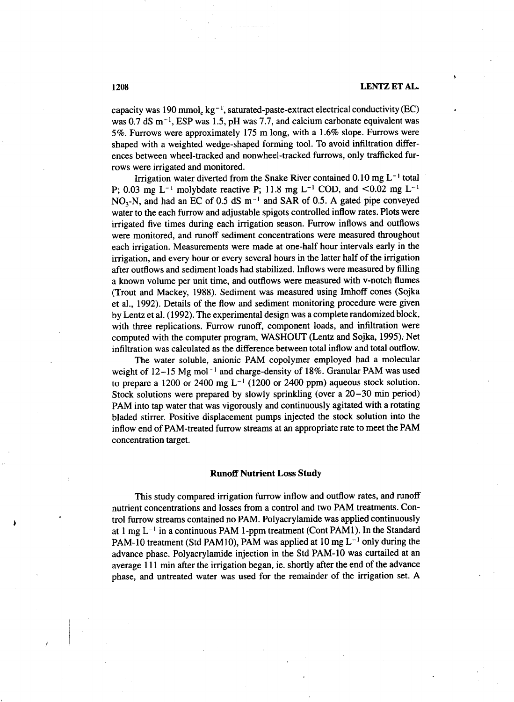capacity was 190 mmol,  $kg^{-1}$ , saturated-paste-extract electrical conductivity (EC) was 0.7 dS  $m<sup>-1</sup>$ , ESP was 1.5, pH was 7.7, and calcium carbonate equivalent was 5%. Furrows were approximately 175 m long, with a 1.6% slope. Furrows were shaped with a weighted wedge-shaped forming tool. To avoid infiltration differences between wheel-tracked and nonwheel-tracked furrows, only trafficked furrows were irrigated and monitored.

Irrigation water diverted from the Snake River contained  $0.10 \text{ mg L}^{-1}$  total P; 0.03 mg L<sup>-1</sup> molybdate reactive P; 11.8 mg L<sup>-1</sup> COD, and <0.02 mg L<sup>-1</sup>  $NO<sub>3</sub>-N$ , and had an EC of 0.5 dS m<sup>-1</sup> and SAR of 0.5. A gated pipe conveyed water to the each furrow and adjustable spigots controlled inflow rates. Plots were irrigated five times during each irrigation season. Furrow inflows and outflows were monitored, and runoff sediment concentrations were measured throughout each irrigation. Measurements were made at one-half hour intervals early in the irrigation, and every hour or every several hours in the latter half of the irrigation after outflows and sediment loads had stabilized. Inflows were measured by filling a known volume per unit time, and outflows were measured with v-notch flumes (Trout and Mackey, 1988). Sediment was measured using Imhoff cones (Sojka et al., 1992). Details of the flow and sediment monitoring procedure were given by Lentz et al. (1992). The experimental design was a complete randomized block, with three replications. Furrow runoff, component loads, and infiltration were computed with the computer program, WASHOUT (Lentz and Sojka, 1995). Net infiltration was calculated as the difference between total inflow and total outflow.

The water soluble, anionic PAM copolymer employed had a molecular weight of  $12-15$  Mg mol<sup>-1</sup> and charge-density of 18%. Granular PAM was used to prepare a 1200 or 2400 mg  $L^{-1}$  (1200 or 2400 ppm) aqueous stock solution. Stock solutions were prepared by slowly sprinkling (over a 20–30 min period) PAM into tap water that was vigorously and continuously agitated with a rotating bladed stirrer. Positive displacement pumps injected the stock solution into the inflow end of PAM-treated furrow streams at an appropriate rate to meet the PAM concentration target.

#### **Runoff Nutrient Loss Study**

This study compared irrigation furrow inflow and outflow rates, and runoff nutrient concentrations and losses from a control and two PAM treatments. Control furrow streams contained no PAM. Polyacrylamide was applied continuously at 1 mg  $L^{-1}$  in a continuous PAM 1-ppm treatment (Cont PAM1). In the Standard PAM-10 treatment (Std PAM10), PAM was applied at 10 mg  $L^{-1}$  only during the advance phase. Polyacrylamide injection in the Std PAM-10 was curtailed at an average 111 min after the irrigation began, ie. shortly after the end of the advance phase, and untreated water was used for the remainder of the irrigation set. A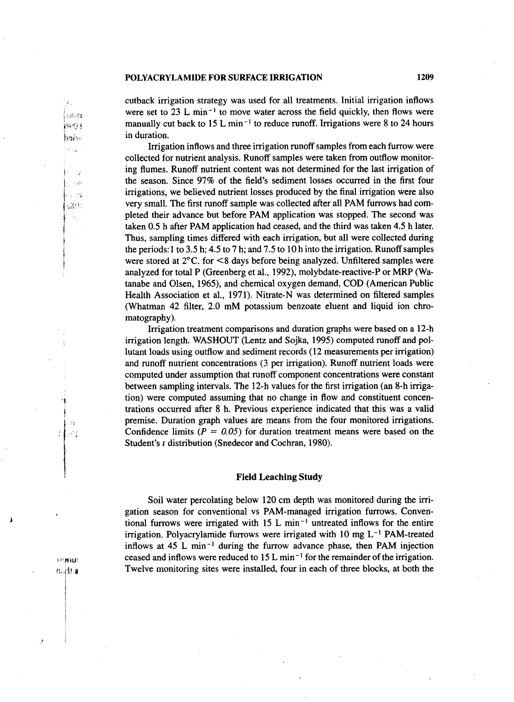cutback irrigation strategy was used for all treatments. Initial irrigation inflows were set to  $23$  L min<sup>-1</sup> to move water across the field quickly, then flows were manually cut back to 15 L min<sup>-1</sup> to reduce runoff. Irrigations were 8 to 24 hours in duration.

Irrigation inflows and three irrigation runoff samples from each furrow were collected for nutrient analysis. Runoff samples were taken from outflow monitoring flumes. Runoff nutrient content was not determined for the last irrigation of the season. Since 97% of the field's sediment losses occurred in the first four irrigations, we believed nutrient losses produced by the final irrigation were also very small. The first runoff sample was collected after all PAM furrows had completed their advance but before PAM application was stopped. The second was taken 0.5 h after PAM application had ceased, and the third was taken 4.5 h later. Thus, sampling times differed with each irrigation, but all were collected during the periods:1 to 3.5 h; 4.5 to 7 h; and 7.5 to 10 h into the irrigation. Runoff samples were stored at  $2^{\circ}$ C. for  $\leq$ 8 days before being analyzed. Unfiltered samples were analyzed for total P (Greenberg et al., 1992), molybdate-reactive-P or MRP (Watanabe and Olsen, 1965), and chemical oxygen demand, COD (American Public Health Association et al., 1971). Nitrate-N was determined on filtered samples (Whatman 42 filter, 2.0 mM potassium benzoate eluent and liquid ion chromatography).

Irrigation treatment comparisons and duration graphs were based on a 12-h irrigation length. WASHOUT (Lentz and Sojka, 1995) computed runoff and pollutant loads using outflow and sediment records (12 measurements per irrigation) and runoff nutrient concentrations (3 per irrigation). Runoff nutrient loads were computed under assumption that runoff component concentrations were constant between sampling intervals. The 12-h values for the first irrigation (an 8-h irrigation) were computed assuming that no change in flow and constituent concentrations occurred after 8 h. Previous experience indicated that this was a valid premise. Duration graph values are means from the four monitored irrigations. Confidence limits  $(P = 0.05)$  for duration treatment means were based on the Student's *t* distribution (Snedecor and Cochran, 1980).

#### Field Leaching Study

Soil water percolating below 120 cm depth was monitored during the irrigation season for conventional vs PAM-managed irrigation furrows. Conventional furrows were irrigated with  $15 \text{ L min}^{-1}$  untreated inflows for the entire irrigation. Polyacrylamide furrows were irrigated with 10 mg  $L^{-1}$  PAM-treated inflows at 45 L min<sup>-1</sup> during the furrow advance phase, then PAM injection ceased and inflows were reduced to 15 L min<sup>-1</sup> for the remainder of the irrigation. Twelve monitoring sites were installed, four in each of three blocks, at both the

**LOMINE** nailt a

-13 ł. يجوز

pos i

hair i VC 22

> J. in 23. ru es 520°  $\Omega$  :

Ā. linas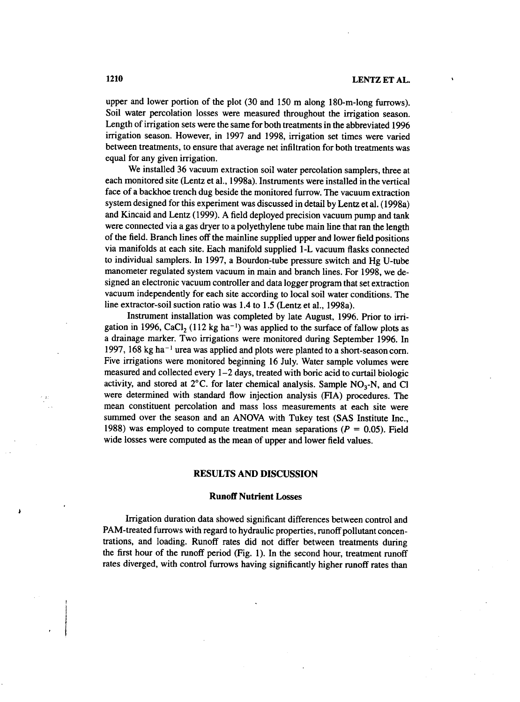upper and lower portion of the plot (30 and 150 m along 180-m-long furrows). Soil water percolation losses were measured throughout the irrigation season. Length of irrigation sets were the same for both treatments in the abbreviated 1996 irrigation season. However, in 1997 and 1998, irrigation set times were varied between treatments, to ensure that average net infiltration for both treatments was equal for any given irrigation.

We installed 36 vacuum extraction soil water percolation samplers, three at each monitored site (Lentz et al., 1998a). Instruments were installed in the vertical face of a backhoe trench dug beside the monitored furrow. The vacuum extraction system designed for this experiment was discussed in detail by Lentz et al. (1998a) and Kincaid and Lentz (1999). A field deployed precision vacuum pump and tank were connected via a gas dryer to a polyethylene tube main line that ran the length of the field. Branch lines off the mainline supplied upper and lower field positions via manifolds at each site. Each manifold supplied 1-L vacuum flasks connected to individual samplers. In 1997, a Bourdon-tube pressure switch and Hg U-tube manometer regulated system vacuum in main and branch lines. For 1998, we designed an electronic vacuum controller and data logger program that set extraction vacuum independently for each site according to local soil water conditions. The line extractor-soil suction ratio was 1.4 to 1.5 (Lentz et al., 1998a).

Instrument installation was completed by late August, 1996. Prior to irrigation in 1996, CaCl<sub>2</sub> (112 kg ha<sup>-1</sup>) was applied to the surface of fallow plots as a drainage marker. Two irrigations were monitored during September 1996. In 1997, 168 kg ha<sup>-1</sup> urea was applied and plots were planted to a short-season corn. Five irrigations were monitored beginning 16 July. Water sample volumes were measured and collected every 1-2 days, treated with boric acid to curtail biologic activity, and stored at  $2^{\circ}$ C. for later chemical analysis. Sample  $NO<sub>3</sub>-N$ , and Cl were determined with standard flow injection analysis (HA) procedures. The mean constituent percolation and mass loss measurements at each site were summed over the season and an ANOVA with Tukey test (SAS Institute Inc., 1988) was employed to compute treatment mean separations *(P =* 0.05). Field wide losses were computed as the mean of upper and lower field values.

#### **RESULTS AND DISCUSSION**

#### **Runoff Nutrient Losses**

Irrigation duration data showed significant differences between control and PAM-treated furrows with regard to hydraulic properties, runoff pollutant concentrations, and loading. Runoff rates did not differ between treatments during the first hour of the runoff period (Fig. 1). In the second hour, treatment runoff rates diverged, with control furrows having significantly higher runoff rates than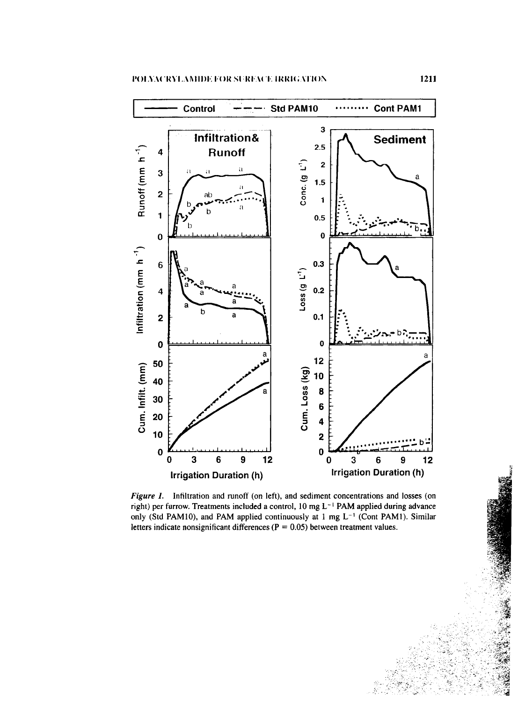

*Figure 1.* Infiltration and runoff (on left), and sediment concentrations and losses (on right) per furrow. Treatments included a control,  $10 \text{ mg } L^{-1}$  PAM applied during advance only (Std PAM10), and PAM applied continuously at 1 mg  $L^{-1}$  (Cont PAM1). Similar letters indicate nonsignificant differences ( $P = 0.05$ ) between treatment values.

Ÿ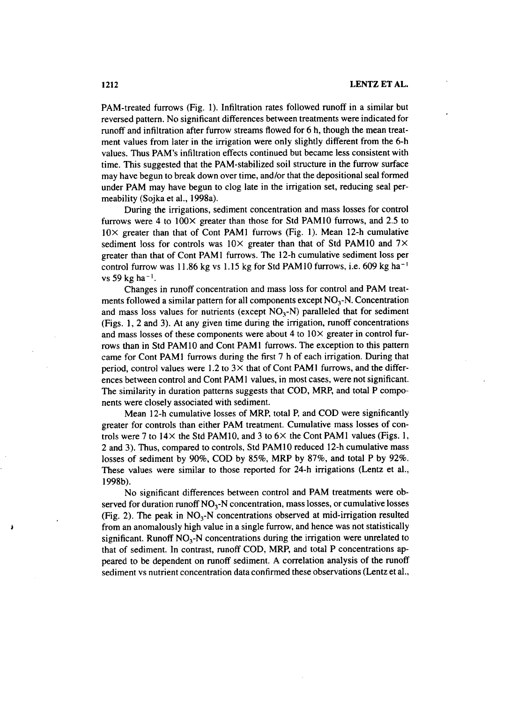PAM-treated furrows (Fig. 1). Infiltration rates followed runoff in a similar but reversed pattern. No significant differences between treatments were indicated for runoff and infiltration after furrow streams flowed for 6 h, though the mean treatment values from later in the irrigation were only slightly different from the 6-h values. Thus PAM's infiltration effects continued but became less consistent with time. This suggested that the PAM-stabilized soil structure in the furrow surface may have begun to break down over time, and/or that the depositional seal formed under PAM may have begun to clog late in the irrigation set, reducing seal permeability (Sojka et al., 1998a).

During the irrigations, sediment concentration and mass losses for control furrows were 4 to  $100 \times$  greater than those for Std PAM10 furrows, and 2.5 to  $10 \times$  greater than that of Cont PAM1 furrows (Fig. 1). Mean 12-h cumulative sediment loss for controls was  $10\times$  greater than that of Std PAM10 and 7 $\times$ greater than that of Cont PAM1 furrows. The 12-h cumulative sediment loss per control furrow was 11.86 kg vs 1.15 kg for Std PAM10 furrows, i.e. 609 kg ha<sup>-1</sup> vs 59 kg ha $^{-1}$ .

Changes in runoff concentration and mass loss for control and PAM treatments followed a similar pattern for all components except  $NO<sub>3</sub>$ -N. Concentration and mass loss values for nutrients (except  $NO<sub>3</sub>-N$ ) paralleled that for sediment (Figs. 1, 2 and 3). At any given time during the irrigation, runoff concentrations and mass losses of these components were about 4 to  $10\times$  greater in control furrows than in Std PAM10 and Cont PAM1 furrows. The exception to this pattern came for Cont PAM1 furrows during the first 7 h of each irrigation. During that period, control values were 1.2 to  $3\times$  that of Cont PAM1 furrows, and the differences between control and Cont PAM 1 values, in most cases, were not significant. The similarity in duration patterns suggests that COD, MRP, and total P components were closely associated with sediment.

Mean 12-h cumulative losses of MRP, total P, and COD were significantly greater for controls than either PAM treatment. Cumulative mass losses of controls were 7 to  $14\times$  the Std PAM10, and 3 to  $6\times$  the Cont PAM1 values (Figs. 1, 2 and 3). Thus, compared to controls, Std PAM10 reduced 12-h cumulative mass losses of sediment by 90%, COD by 85%, MRP by 87%, and total P by 92%. These values were similar to those reported for 24-h irrigations (Lentz et al., 1998b).

No significant differences between control and PAM treatments were observed for duration runoff  $NO<sub>3</sub>$ -N concentration, mass losses, or cumulative losses (Fig. 2). The peak in  $NO_3$ -N concentrations observed at mid-irrigation resulted from an anomalously high value in a single furrow, and hence was not statistically significant. Runoff  $NO<sub>3</sub>-N$  concentrations during the irrigation were unrelated to that of sediment. In contrast, runoff COD, MRP, and total P concentrations appeared to be dependent on runoff sediment. A correlation analysis of the runoff sediment vs nutrient concentration data confirmed these observations (Lentz et al.,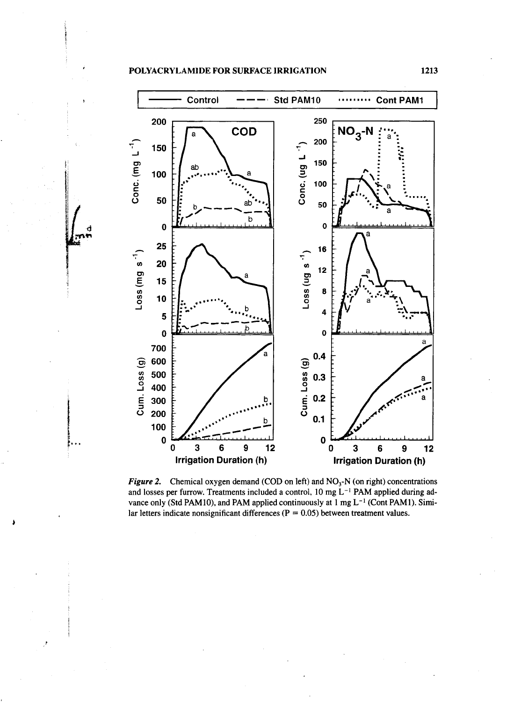,

)



*Figure 2.* Chemical oxygen demand (COD on left) and  $NO<sub>3</sub>$ -N (on right) concentrations and losses per furrow. Treatments included a control, 10 mg  $L^{-1}$  PAM applied during advance only (Std PAM10), and PAM applied continuously at  $1 \text{ mg } L^{-1}$  (Cont PAM1). Similar letters indicate nonsignificant differences ( $P = 0.05$ ) between treatment values.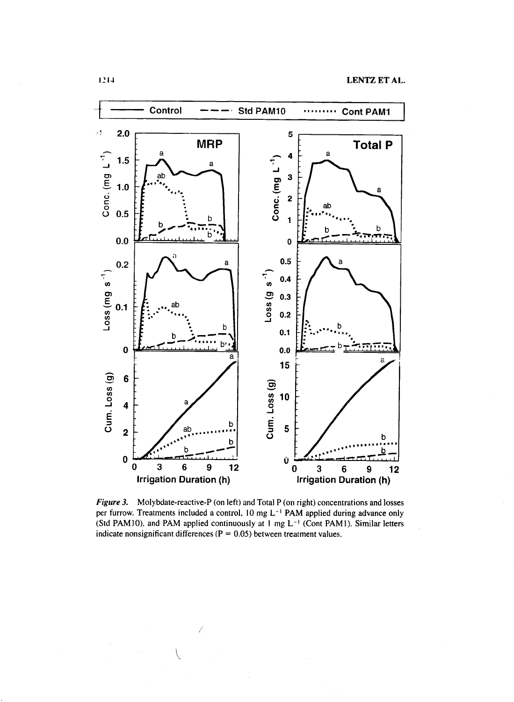

*Figure 3.* Molybdate-reactive-P (on left) and Total P (on right) concentrations and losses per furrow. Treatments included a control, 10 mg L<sup>-1</sup> PAM applied during advance only (Std PAM10), and PAM applied continuously at 1 mg  $L^{-1}$  (Cont PAM1). Similar letters indicate nonsignificant differences ( $P = 0.05$ ) between treatment values.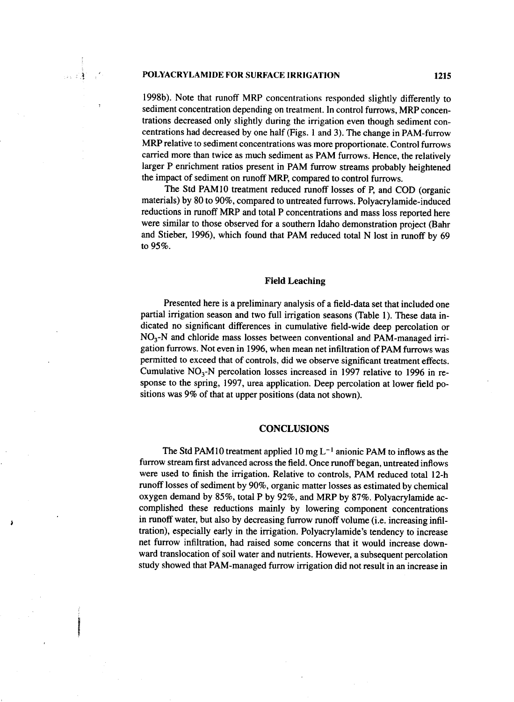्दे

1998b). Note that runoff MRP concentrations responded slightly differently to sediment concentration depending on treatment. In control furrows, MRP concentrations decreased only slightly during the irrigation even though sediment concentrations had decreased by one half (Figs. 1 and 3). The change in PAM-furrow MRP relative to sediment concentrations was more proportionate. Control furrows carried more than twice as much sediment as PAM furrows. Hence, the relatively larger P enrichment ratios present in PAM furrow streams probably heightened the impact of sediment on runoff MRP, compared to control furrows.

The Std PAM10 treatment reduced runoff losses of P, and COD (organic materials) by 80 to 90%, compared to untreated furrows. Polyacrylamide-induced reductions in runoff MRP and total P concentrations and mass loss reported here were similar to those observed for a southern Idaho demonstration project (Bahr and Stieber, 1996), which found that PAM reduced total N lost in runoff by 69 to 95%.

#### Field Leaching

Presented here is a preliminary analysis of a field-data set that included one partial irrigation season and two full irrigation seasons (Table 1). These data indicated no significant differences in cumulative field-wide deep percolation or  $NO<sub>3</sub>$ -N and chloride mass losses between conventional and PAM-managed irrigation furrows. Not even in 1996, when mean net infiltration of PAM furrows was permitted to exceed that of controls, did we observe significant treatment effects. Cumulative  $NO_3$ -N percolation losses increased in 1997 relative to 1996 in response to the spring, 1997, urea application. Deep percolation at lower field positions was 9% of that at upper positions (data not shown).

#### **CONCLUSIONS**

The Std PAM 10 treatment applied 10 mg  $L^{-1}$  anionic PAM to inflows as the furrow stream first advanced across the field. Once runoff began, untreated inflows were used to finish the irrigation. Relative to controls, PAM reduced total 12-h runoff losses of sediment by 90%, organic matter losses as estimated by chemical oxygen demand by 85%, total P by 92%, and MRP by 87%. Polyacrylamide accomplished these reductions mainly by lowering component concentrations in runoff water, but also by decreasing furrow runoff volume (i.e. increasing infiltration), especially early in the irrigation. Polyacrylamide's tendency to increase net furrow infiltration, had raised some concerns that it would increase downward translocation of soil water and nutrients. However, a subsequent percolation study showed that PAM-managed furrow irrigation did not result in an increase in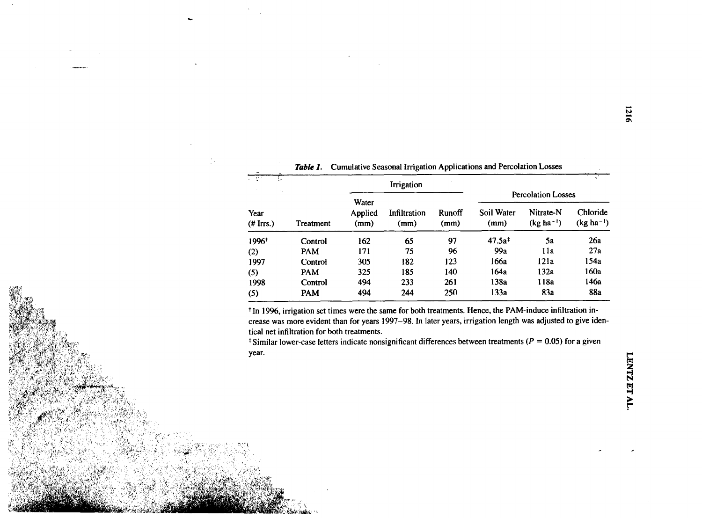|                              | Cumulative Seasonal Irrigation Applications and Percolation Losses<br>Table 1. |                          |                      |                |                           |                             |                            |
|------------------------------|--------------------------------------------------------------------------------|--------------------------|----------------------|----------------|---------------------------|-----------------------------|----------------------------|
| या छन<br>Year<br>$(H$ Irrs.) | Treatment                                                                      | Irrigation               |                      |                |                           |                             |                            |
|                              |                                                                                | Water<br>Applied<br>(mm) | Infiltration<br>(mm) | Runoff<br>(mm) | <b>Percolation Losses</b> |                             |                            |
|                              |                                                                                |                          |                      |                | Soil Water<br>(mm)        | Nitrate-N<br>$(kg ha^{-1})$ | Chloride<br>$(kg ha^{-1})$ |
| 1996+                        | Control                                                                        | 162                      | 65                   | 97             | $47.5a$ <sup>#</sup>      | 5a                          | 26a                        |
| (2)                          | <b>PAM</b>                                                                     | 171                      | 75                   | 96             | 99a                       | 11a                         | 27a                        |
| 1997                         | Control                                                                        | 305                      | 182                  | 123            | 166a                      | 121a                        | 154a                       |
| (5)                          | <b>PAM</b>                                                                     | 325                      | 185                  | 140            | 164a                      | 132a                        | 160a                       |
| 1998                         | Control                                                                        | 494                      | 233                  | 261            | 138a                      | 118a                        | 146a                       |
| (5)                          | <b>PAM</b>                                                                     | 494                      | 244                  | 250            | 133a                      | 83a                         | <b>88a</b>                 |

t In 1996, irrigation set times were the same for both treatments. Hence, the PAM-induce infiltration increase was more evident than for years 1997-98. In later years, irrigation length was adjusted to give identical net infiltration for both treatments.

t Similar lower-case letters indicate nonsignificant differences between treatments *(P =* 0.05) for a given year.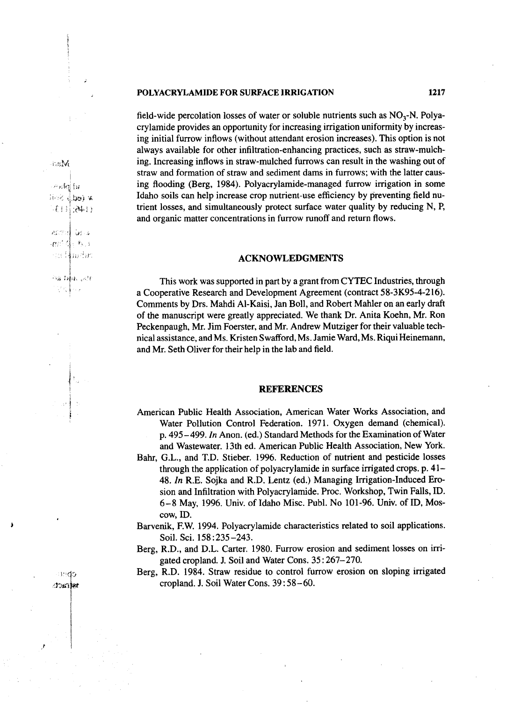field-wide percolation losses of water or soluble nutrients such as  $NO<sub>3</sub>-N$ . Polyacrylamide provides an opportunity for increasing irrigation uniformity by increasing initial furrow inflows (without attendant erosion increases). This option is not always available for other infiltration-enhancing practices, such as straw-mulching. Increasing inflows in straw-mulched furrows can result in the washing out of straw and formation of straw and sediment dams in furrows; with the latter causing flooding (Berg, 1984). Polyacrylamide-managed furrow irrigation in some Idaho soils can help increase crop nutrient-use efficiency by preventing field nutrient losses, and simultaneously protect surface water quality by reducing N, P, and organic matter concentrations in furrow runoff and return flows.

#### **ACKNOWLEDGMENTS**

This work was supported in part by a grant from CYTEC Industries, through a Cooperative Research and Development Agreement (contract 58-3K95-4-216). Comments by Drs. Mandi Al-Kaisi, Jan Boll, and Robert Mahler on an early draft of the manuscript were greatly appreciated. We thank Dr. Anita Koehn, Mr. Ron Peckenpaugh, Mr. Jim Foerster, and Mr. Andrew Mutziger for their valuable technical assistance, and Ms. Kristen Swafford, Ms. Jamie Ward, Ms. Riqui Heinemann, and Mr. Seth Oliver for their help in the lab and field.

#### **REFERENCES**

- American Public Health Association, American Water Works Association, and Water Pollution Control Federation. 1971. Oxygen demand (chemical). p. 495-499. *In* Anon. (ed.) Standard Methods for the Examination of Water and Wastewater. 13th ed. American Public Health Association, New York.
- Bahr, G.L., and T.D. Stieber. 1996. Reduction of nutrient and pesticide losses through the application of polyacrylamide in surface irrigated crops. p. 41- 48. *In* R.E. Sojka and R.D. Lentz (ed.) Managing Irrigation-Induced Erosion and Infiltration with Polyacrylamide. Proc. Workshop, Twin Falls, ID. 6 –8 May, 1996. Univ. of Idaho Misc. Publ. No 101-96. Univ. of ID, Moscow, ID.
- Barvenik, F.W. 1994. Polyacrylamide characteristics related to soil applications. Soil. Sci. 158: 235-243.
- Berg, R.D., and D.L. Carter. 1980. Furrow erosion and sediment losses on irrigated cropland. J. Soil and Water Cons. 35 : 267-270.
- Berg, R.D. 1984. Straw residue to control furrow erosion on sloping irrigated cropland. J. Soil Water Cons. 39 : 58-60.

ha M

不可的 劲  $i \in \{1, 2, 3\}$  is 日本国王

aseed back  $\mathcal{M}^{(1)}$ ł,  $\frac{1}{2}$   $\mathbf{r}_{k-3}$ as Harbr

ે છે. સીમે રહેશ 만 ( Para

mdo ിറങ്ങ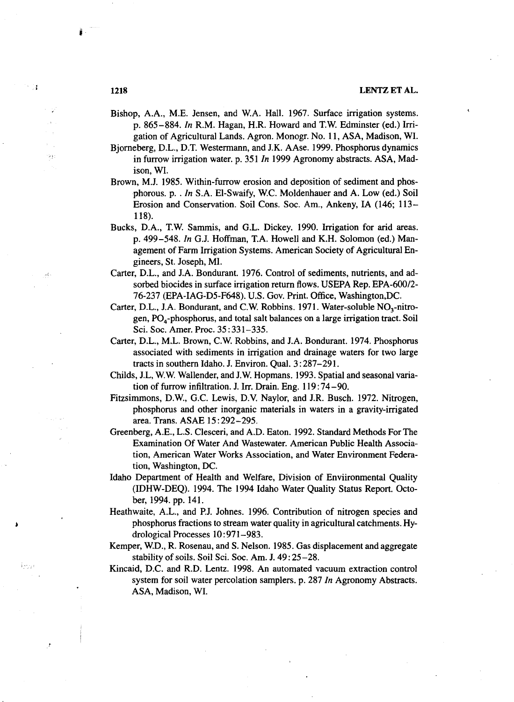- Bishop, A.A., M.E. Jensen, and WA. Hall. 1967. Surface irrigation systems. p. 865 –884. *In* R.M. Hagan, H.R. Howard and T.W. Edminster (ed.) Irrigation of Agricultural Lands. Agron. Monogr. No. 11, ASA, Madison, WI.
- Bjorneberg, D.L., D.T. Westermann, and J.K. AAse. 1999. Phosphorus dynamics in furrow irrigation water. p. 351 *In* 1999 Agronomy abstracts. ASA, Madison, WI.
- Brown, M.J. 1985. Within-furrow erosion and deposition of sediment and phosphorous. p. . *In* S.A. El-Swaify, W.C. Moldenhauer and A. Low (ed.) Soil Erosion and Conservation. Soil Cons. Soc. Am., Ankeny, IA (146; 113- 118).
- Bucks, D.A., T.W. Sammis, and G.L. Dickey. 1990. Irrigation for arid areas. p. 499-548. *In* G.J. Hoffman, T.A. Howell and K.H. Solomon (ed.) Management of Farm Irrigation Systems. American Society of Agricultural Engineers, St. Joseph, MI.
- Carter, D.L., and J.A. Bondurant. 1976. Control of sediments, nutrients, and adsorbed biocides in surface irrigation return flows. USEPA Rep. EPA-600/2- 76-237 (EPA-IAG-D5-F648). U.S. Gov. Print. Office, Washington,DC.
- Carter, D.L., J.A. Bondurant, and C.W. Robbins. 1971. Water-soluble NO<sub>3</sub>-nitrogen,  $PO<sub>4</sub>$ -phosphorus, and total salt balances on a large irrigation tract. Soil Sci. Soc. Amer. Proc. 35 : 331-335.
- Carter, D.L., M.L. Brown, C.W. Robbins, and J.A. Bondurant. 1974. Phosphorus associated with sediments in irrigation and drainage waters for two large tracts in southern Idaho. J. Environ. Qual. 3:287-291.
- Childs, J.L, W.W. Wallender, and J.W. Hopmans. 1993. Spatial and seasonal variation of furrow infiltration. J. Irr. Drain. Eng. 119 : 74 –90.
- Fitzsimmons, D.W., G.C. Lewis, D.V. Naylor, and J.R. Busch. 1972. Nitrogen, phosphorus and other inorganic materials in waters in a gravity-irrigated area. Trans. ASAE 15 :292-295.
- Greenberg, A.E., L.S. Clesceri, and A.D. Eaton. 1992. Standard Methods For The Examination Of Water And Wastewater. American Public Health Association, American Water Works Association, and Water Environment Federation, Washington, DC.
- Idaho Department of Health and Welfare, Division of Enviironmental Quality (IDHW-DEQ). 1994. The 1994 Idaho Water Quality Status Report. October, 1994. pp. 141.
- Heathwaite, A.L., and P.J. Johnes. 1996. Contribution of nitrogen species and phosphorus fractions to stream water quality in agricultural catchments. Hydrological Processes 10 : 971-983.
- Kemper, W.D., R. Rosenau, and S. Nelson. 1985. Gas displacement and aggregate stability of soils. Soil Sci. Soc. Am. J. 49 : 25-28.
- Kincaid, D.C. and R.D. Lentz. 1998. An automated vacuum extraction control system for soil water percolation samplers. p. 287 *In* Agronomy Abstracts. ASA, Madison, WI.

-1

ra p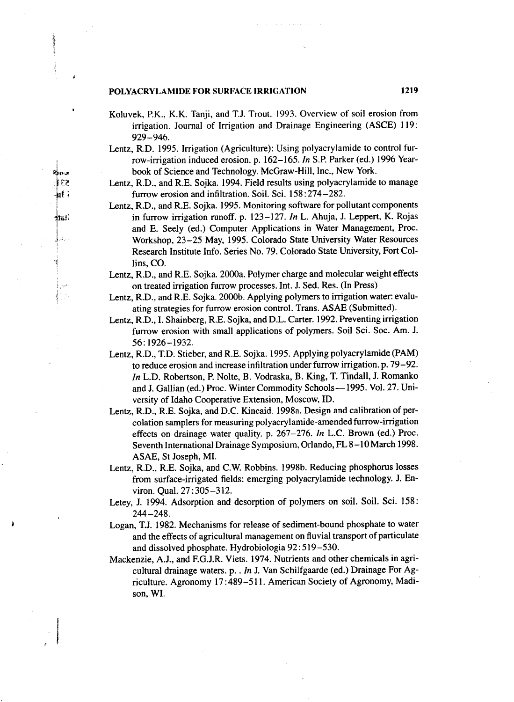สียว ξŞ naf:

iat

الأور

ميد

- Koluvek, P.K., K.K. Tanji, and T.J. Trout. 1993. Overview of soil erosion from irrigation. Journal of Irrigation and Drainage Engineering (ASCE) 119: 929-946.
- Lentz, R.D. 1995. Irrigation (Agriculture): Using polyacrylamide to control furrow-irrigation induced erosion. p. 162-165. *In* S.P. Parker (ed.) 1996 Yearbook of Science and Technology. McGraw-Hill, Inc., New York.
- Lentz, R.D., and R.E. Sojka. 1994. Field results using polyacrylamide to manage furrow erosion and infiltration. Soil. Sci. 158: 274 –282.

Lentz, R.D., and R.E. Sojka. 1995. Monitoring software for pollutant components in furrow irrigation runoff. p. 123-127. *In* L. Ahuja, J. Leppert, K. Rojas and E. Seely (ed.) Computer Applications in Water Management, Proc. Workshop, 23-25 May, 1995. Colorado State University Water Resources Research Institute Info. Series No. 79. Colorado State University, Fort Collins, CO.

Lentz, R.D., and R.E. Sojka. 2000a. Polymer charge and molecular weight effects on treated irrigation furrow processes. Int. J. Sed. Res. (In Press)

Lentz, R.D., and R.E. Sojka. 2000b. Applying polymers to irrigation water: evaluating strategies for furrow erosion control. Trans. ASAE (Submitted).

- Lentz, R.D., I. Shainberg, R.E. Sojka, and D.L. Carter. 1992. Preventing irrigation furrow erosion with small applications of polymers. Soil Sci. Soc. Am. J. 56 : 1926 –1932.
- Lentz, R.D., T.D. Stieber, and R.E. Sojka. 1995. Applying polyacrylamide (PAM) to reduce erosion and increase infiltration under furrow irrigation. p. 79-92. *In* L.D. Robertson, P. Nolte, B. Vodraska, B. King, T. Tindall, J. Romanko and J. Gallian (ed.) Proc. Winter Commodity Schools-1995. Vol. 27. University of Idaho Cooperative Extension, Moscow, ID.
- Lentz, R.D., R.E. Sojka, and D.C. Kincaid. 1998a. Design and calibration of percolation samplers for measuring polyacrylamide-amended furrow-irrigation effects on drainage water quality. p. 267-276. *In* L.C. Brown (ed.) Proc. Seventh International Drainage Symposium, Orlando, FL 8-10 March 1998. ASAE, St Joseph, MI.

Lentz, R.D., R.E. Sojka, and C.W. Robbins. 1998b. Reducing phosphorus losses from surface-irrigated fields: emerging polyacrylamide technology. J. Environ. Qual. 27 : 305-312.

Letey, J. 1994. Adsorption and desorption of polymers on soil. Soil. Sci. 158: 244 –248.

- Logan, T.J. 1982. Mechanisms for release of sediment-bound phosphate to water and the effects of agricultural management on fluvial transport of particulate and dissolved phosphate. Hydrobiologia 92:519-530.
- Mackenzie, A.J., and F.G.J.R. Viets. 1974. Nutrients and other chemicals in agricultural drainage waters. p. . *In J.* Van Schilfgaarde (ed.) Drainage For Agriculture. Agronomy 17:489-511. American Society of Agronomy, Madison, WI.